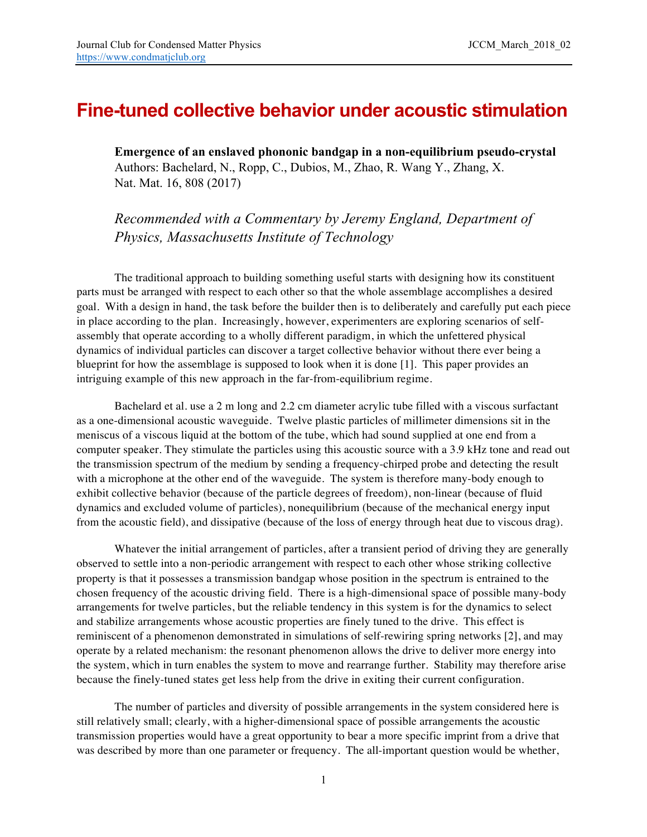## **Fine-tuned collective behavior under acoustic stimulation**

**Emergence of an enslaved phononic bandgap in a non-equilibrium pseudo-crystal** Authors: Bachelard, N., Ropp, C., Dubios, M., Zhao, R. Wang Y., Zhang, X. Nat. Mat. 16, 808 (2017)

*Recommended with a Commentary by Jeremy England, Department of Physics, Massachusetts Institute of Technology*

The traditional approach to building something useful starts with designing how its constituent parts must be arranged with respect to each other so that the whole assemblage accomplishes a desired goal. With a design in hand, the task before the builder then is to deliberately and carefully put each piece in place according to the plan. Increasingly, however, experimenters are exploring scenarios of selfassembly that operate according to a wholly different paradigm, in which the unfettered physical dynamics of individual particles can discover a target collective behavior without there ever being a blueprint for how the assemblage is supposed to look when it is done [1]. This paper provides an intriguing example of this new approach in the far-from-equilibrium regime.

Bachelard et al. use a 2 m long and 2.2 cm diameter acrylic tube filled with a viscous surfactant as a one-dimensional acoustic waveguide. Twelve plastic particles of millimeter dimensions sit in the meniscus of a viscous liquid at the bottom of the tube, which had sound supplied at one end from a computer speaker. They stimulate the particles using this acoustic source with a 3.9 kHz tone and read out the transmission spectrum of the medium by sending a frequency-chirped probe and detecting the result with a microphone at the other end of the waveguide. The system is therefore many-body enough to exhibit collective behavior (because of the particle degrees of freedom), non-linear (because of fluid dynamics and excluded volume of particles), nonequilibrium (because of the mechanical energy input from the acoustic field), and dissipative (because of the loss of energy through heat due to viscous drag).

Whatever the initial arrangement of particles, after a transient period of driving they are generally observed to settle into a non-periodic arrangement with respect to each other whose striking collective property is that it possesses a transmission bandgap whose position in the spectrum is entrained to the chosen frequency of the acoustic driving field. There is a high-dimensional space of possible many-body arrangements for twelve particles, but the reliable tendency in this system is for the dynamics to select and stabilize arrangements whose acoustic properties are finely tuned to the drive. This effect is reminiscent of a phenomenon demonstrated in simulations of self-rewiring spring networks [2], and may operate by a related mechanism: the resonant phenomenon allows the drive to deliver more energy into the system, which in turn enables the system to move and rearrange further. Stability may therefore arise because the finely-tuned states get less help from the drive in exiting their current configuration.

The number of particles and diversity of possible arrangements in the system considered here is still relatively small; clearly, with a higher-dimensional space of possible arrangements the acoustic transmission properties would have a great opportunity to bear a more specific imprint from a drive that was described by more than one parameter or frequency. The all-important question would be whether,